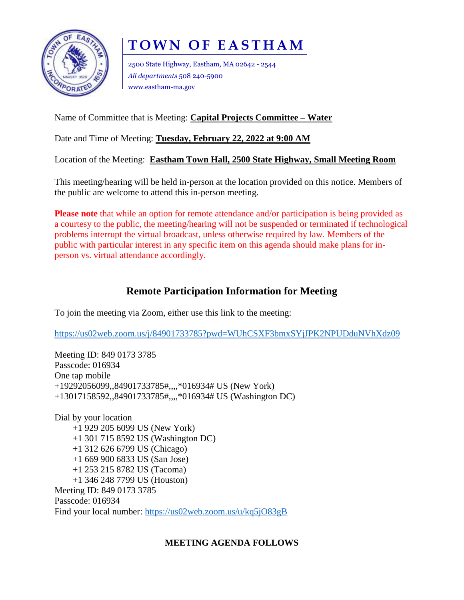

# **TOWN OF EASTHAM**

2500 State Highway, Eastham, MA 02642 - 2544 *All departments* 508 240-5900 www.eastham-ma.gov

## Name of Committee that is Meeting: **Capital Projects Committee – Water**

Date and Time of Meeting: **Tuesday, February 22, 2022 at 9:00 AM**

Location of the Meeting: **Eastham Town Hall, 2500 State Highway, Small Meeting Room**

This meeting/hearing will be held in-person at the location provided on this notice. Members of the public are welcome to attend this in-person meeting.

**Please note** that while an option for remote attendance and/or participation is being provided as a courtesy to the public, the meeting/hearing will not be suspended or terminated if technological problems interrupt the virtual broadcast, unless otherwise required by law. Members of the public with particular interest in any specific item on this agenda should make plans for inperson vs. virtual attendance accordingly.

## **Remote Participation Information for Meeting**

To join the meeting via Zoom, either use this link to the meeting:

<https://us02web.zoom.us/j/84901733785?pwd=WUhCSXF3bmxSYjJPK2NPUDduNVhXdz09>

Meeting ID: 849 0173 3785 Passcode: 016934 One tap mobile +19292056099,,84901733785#,,,,\*016934# US (New York) +13017158592,,84901733785#,,,,\*016934# US (Washington DC)

Dial by your location +1 929 205 6099 US (New York) +1 301 715 8592 US (Washington DC) +1 312 626 6799 US (Chicago) +1 669 900 6833 US (San Jose) +1 253 215 8782 US (Tacoma) +1 346 248 7799 US (Houston) Meeting ID: 849 0173 3785 Passcode: 016934 Find your local number:<https://us02web.zoom.us/u/kq5jO83gB>

## **MEETING AGENDA FOLLOWS**